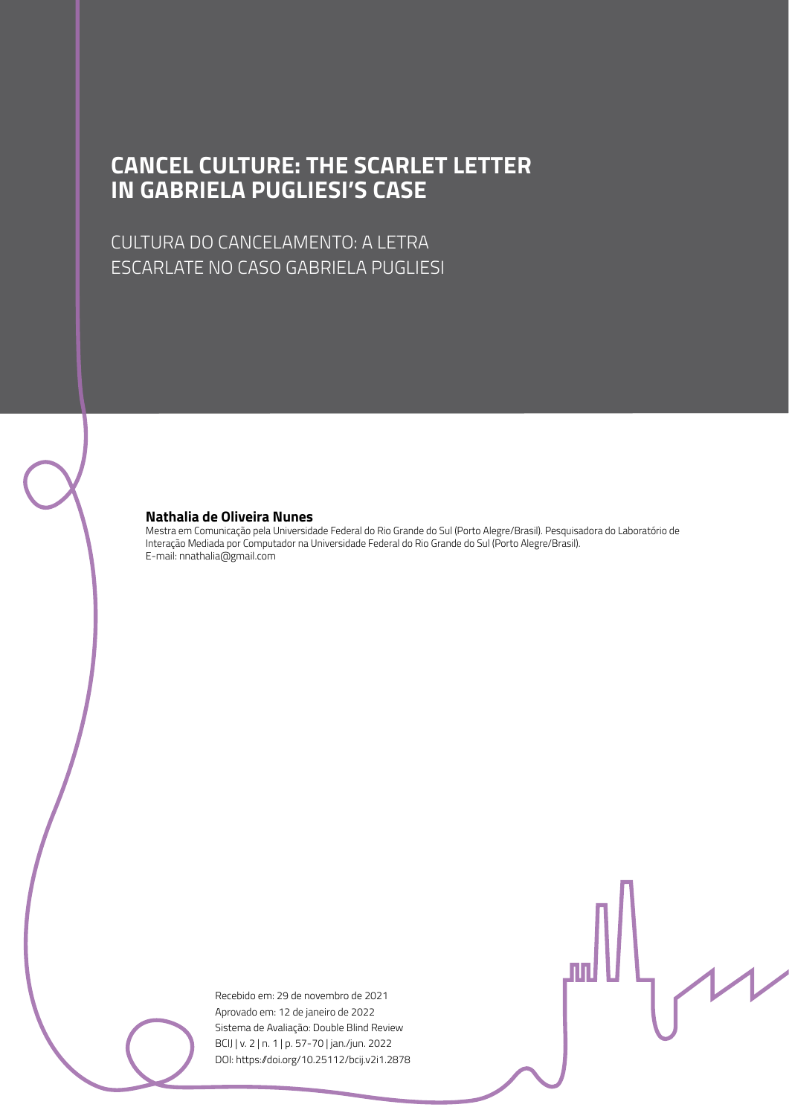### **CANCEL CULTURE: THE SCARLET LETTER IN GABRIELA PUGLIESI'S CASE**

CULTURA DO CANCELAMENTO: A LETRA ESCARLATE NO CASO GABRIELA PUGLIESI

#### **Nathalia de Oliveira Nunes**

Mestra em Comunicação pela Universidade Federal do Rio Grande do Sul (Porto Alegre/Brasil). Pesquisadora do Laboratório de Interação Mediada por Computador na Universidade Federal do Rio Grande do Sul (Porto Alegre/Brasil). E-mail: nnathalia@gmail.com

> Recebido em: 29 de novembro de 2021 Aprovado em: 12 de janeiro de 2022 Sistema de Avaliação: Double Blind Review BCIJ | v. 2 | n. 1 | p. 57-70 | jan./jun. 2022 DOI: https://doi.org/10.25112/bcij.v2i1.2878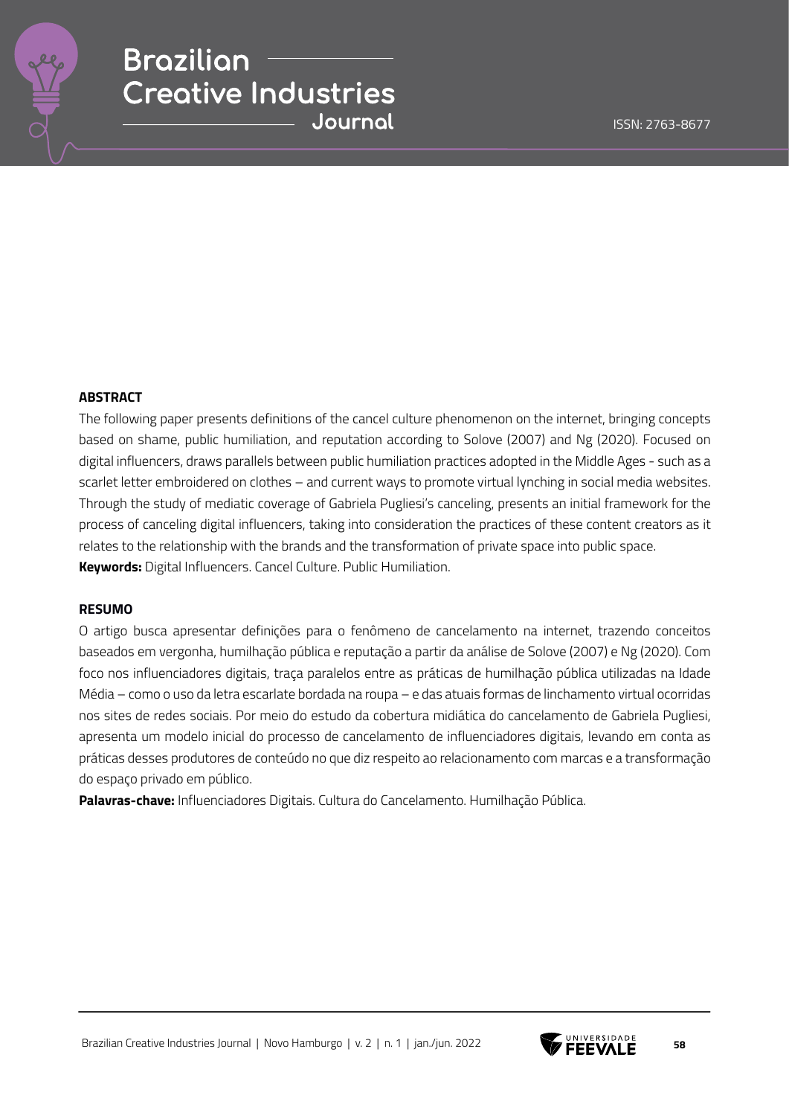

#### **ABSTRACT**

The following paper presents definitions of the cancel culture phenomenon on the internet, bringing concepts based on shame, public humiliation, and reputation according to Solove (2007) and Ng (2020). Focused on digital influencers, draws parallels between public humiliation practices adopted in the Middle Ages - such as a scarlet letter embroidered on clothes – and current ways to promote virtual lynching in social media websites. Through the study of mediatic coverage of Gabriela Pugliesi's canceling, presents an initial framework for the process of canceling digital influencers, taking into consideration the practices of these content creators as it relates to the relationship with the brands and the transformation of private space into public space. **Keywords:** Digital Influencers. Cancel Culture. Public Humiliation.

#### **RESUMO**

O artigo busca apresentar definições para o fenômeno de cancelamento na internet, trazendo conceitos baseados em vergonha, humilhação pública e reputação a partir da análise de Solove (2007) e Ng (2020). Com foco nos influenciadores digitais, traça paralelos entre as práticas de humilhação pública utilizadas na Idade Média – como o uso da letra escarlate bordada na roupa – e das atuais formas de linchamento virtual ocorridas nos sites de redes sociais. Por meio do estudo da cobertura midiática do cancelamento de Gabriela Pugliesi, apresenta um modelo inicial do processo de cancelamento de influenciadores digitais, levando em conta as práticas desses produtores de conteúdo no que diz respeito ao relacionamento com marcas e a transformação do espaço privado em público.

**Palavras-chave:** Influenciadores Digitais. Cultura do Cancelamento. Humilhação Pública.



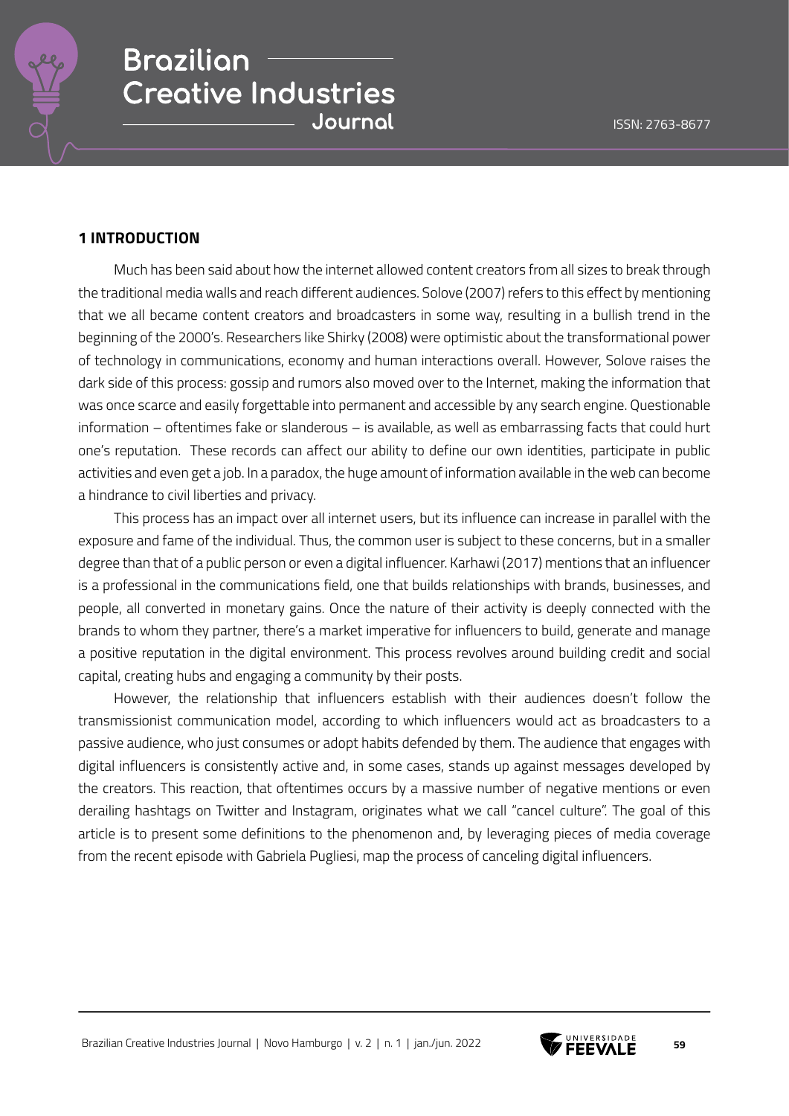

### **1 INTRODUCTION**

Much has been said about how the internet allowed content creators from all sizes to break through the traditional media walls and reach different audiences. Solove (2007) refers to this effect by mentioning that we all became content creators and broadcasters in some way, resulting in a bullish trend in the beginning of the 2000's. Researchers like Shirky (2008) were optimistic about the transformational power of technology in communications, economy and human interactions overall. However, Solove raises the dark side of this process: gossip and rumors also moved over to the Internet, making the information that was once scarce and easily forgettable into permanent and accessible by any search engine. Questionable information – oftentimes fake or slanderous – is available, as well as embarrassing facts that could hurt one's reputation. These records can affect our ability to define our own identities, participate in public activities and even get a job. In a paradox, the huge amount of information available in the web can become a hindrance to civil liberties and privacy.

This process has an impact over all internet users, but its influence can increase in parallel with the exposure and fame of the individual. Thus, the common user is subject to these concerns, but in a smaller degree than that of a public person or even a digital influencer. Karhawi (2017) mentions that an influencer is a professional in the communications field, one that builds relationships with brands, businesses, and people, all converted in monetary gains. Once the nature of their activity is deeply connected with the brands to whom they partner, there's a market imperative for influencers to build, generate and manage a positive reputation in the digital environment. This process revolves around building credit and social capital, creating hubs and engaging a community by their posts.

However, the relationship that influencers establish with their audiences doesn't follow the transmissionist communication model, according to which influencers would act as broadcasters to a passive audience, who just consumes or adopt habits defended by them. The audience that engages with digital influencers is consistently active and, in some cases, stands up against messages developed by the creators. This reaction, that oftentimes occurs by a massive number of negative mentions or even derailing hashtags on Twitter and Instagram, originates what we call "cancel culture". The goal of this article is to present some definitions to the phenomenon and, by leveraging pieces of media coverage from the recent episode with Gabriela Pugliesi, map the process of canceling digital influencers.

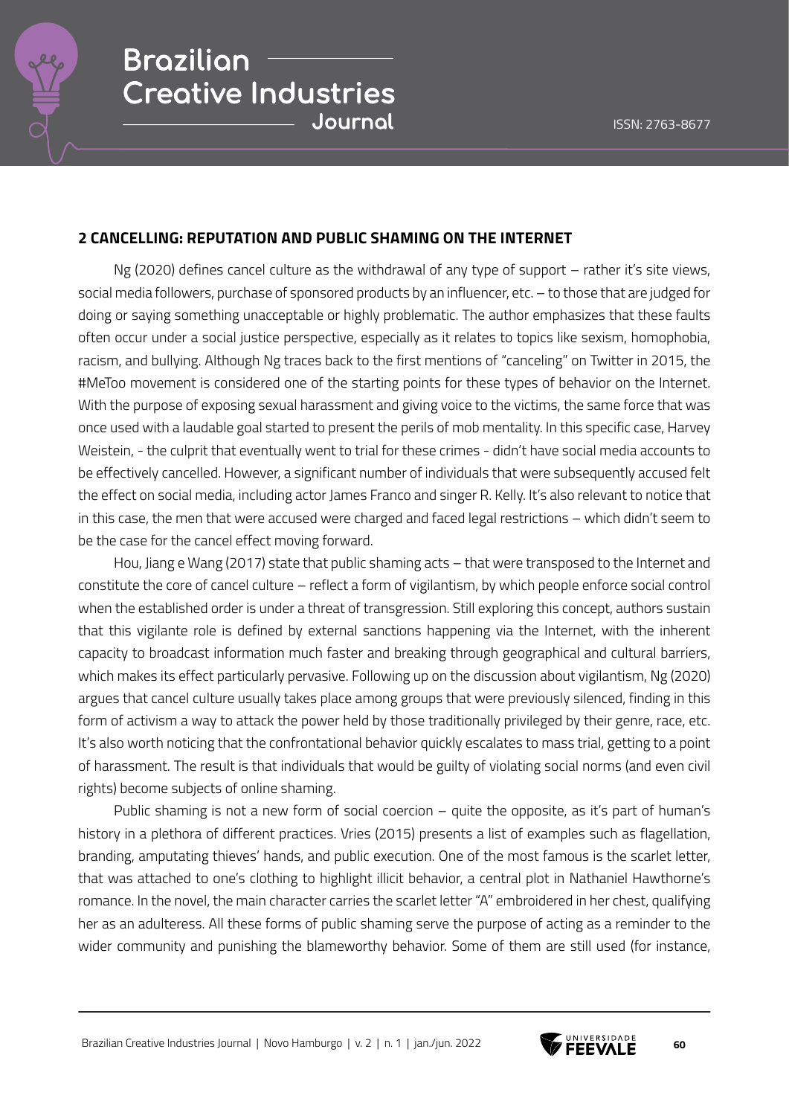

### **2 CANCELLING: REPUTATION AND PUBLIC SHAMING ON THE INTERNET**

Ng (2020) defines cancel culture as the withdrawal of any type of support – rather it's site views, social media followers, purchase of sponsored products by an influencer, etc. – to those that are judged for doing or saying something unacceptable or highly problematic. The author emphasizes that these faults often occur under a social justice perspective, especially as it relates to topics like sexism, homophobia, racism, and bullying. Although Ng traces back to the first mentions of "canceling" on Twitter in 2015, the #MeToo movement is considered one of the starting points for these types of behavior on the Internet. With the purpose of exposing sexual harassment and giving voice to the victims, the same force that was once used with a laudable goal started to present the perils of mob mentality. In this specific case, Harvey Weistein, - the culprit that eventually went to trial for these crimes - didn't have social media accounts to be effectively cancelled. However, a significant number of individuals that were subsequently accused felt the effect on social media, including actor James Franco and singer R. Kelly. It's also relevant to notice that in this case, the men that were accused were charged and faced legal restrictions – which didn't seem to be the case for the cancel effect moving forward.

Hou, Jiang e Wang (2017) state that public shaming acts – that were transposed to the Internet and constitute the core of cancel culture – reflect a form of vigilantism, by which people enforce social control when the established order is under a threat of transgression. Still exploring this concept, authors sustain that this vigilante role is defined by external sanctions happening via the Internet, with the inherent capacity to broadcast information much faster and breaking through geographical and cultural barriers, which makes its effect particularly pervasive. Following up on the discussion about vigilantism, Ng (2020) argues that cancel culture usually takes place among groups that were previously silenced, finding in this form of activism a way to attack the power held by those traditionally privileged by their genre, race, etc. It's also worth noticing that the confrontational behavior quickly escalates to mass trial, getting to a point of harassment. The result is that individuals that would be guilty of violating social norms (and even civil rights) become subjects of online shaming.

Public shaming is not a new form of social coercion – quite the opposite, as it's part of human's history in a plethora of different practices. Vries (2015) presents a list of examples such as flagellation, branding, amputating thieves' hands, and public execution. One of the most famous is the scarlet letter, that was attached to one's clothing to highlight illicit behavior, a central plot in Nathaniel Hawthorne's romance. In the novel, the main character carries the scarlet letter "A" embroidered in her chest, qualifying her as an adulteress. All these forms of public shaming serve the purpose of acting as a reminder to the wider community and punishing the blameworthy behavior. Some of them are still used (for instance,

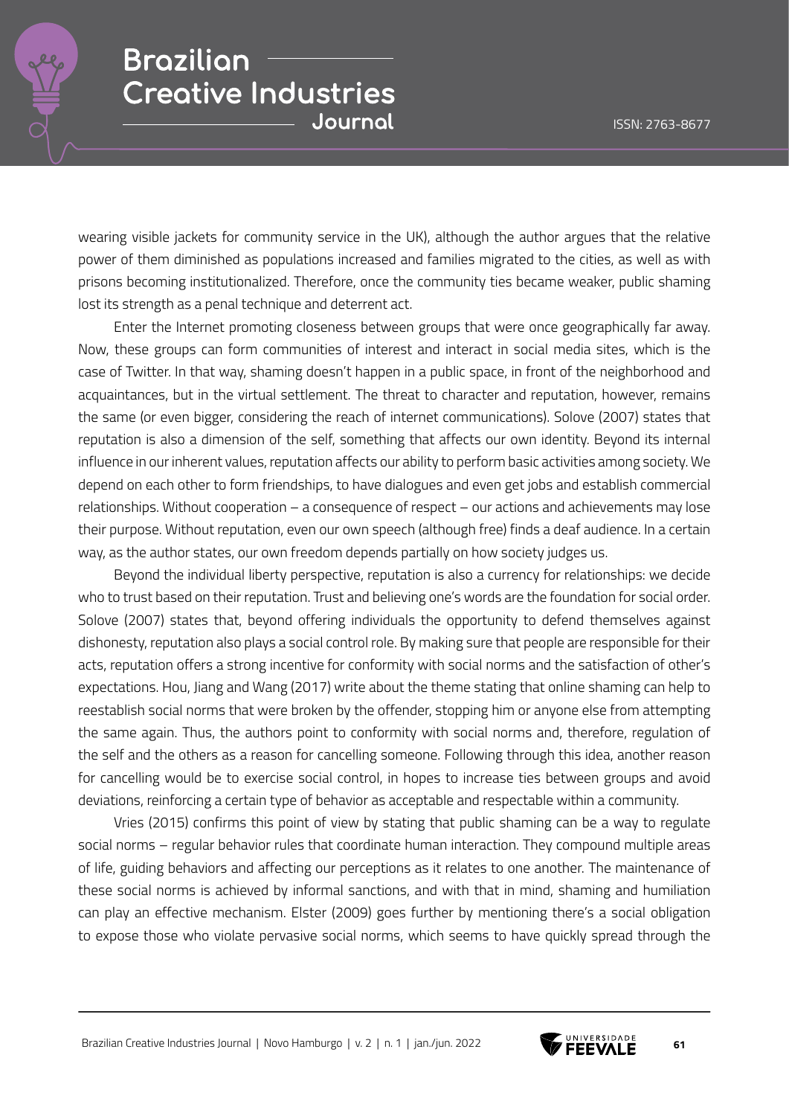

wearing visible jackets for community service in the UK), although the author argues that the relative power of them diminished as populations increased and families migrated to the cities, as well as with prisons becoming institutionalized. Therefore, once the community ties became weaker, public shaming lost its strength as a penal technique and deterrent act.

Enter the Internet promoting closeness between groups that were once geographically far away. Now, these groups can form communities of interest and interact in social media sites, which is the case of Twitter. In that way, shaming doesn't happen in a public space, in front of the neighborhood and acquaintances, but in the virtual settlement. The threat to character and reputation, however, remains the same (or even bigger, considering the reach of internet communications). Solove (2007) states that reputation is also a dimension of the self, something that affects our own identity. Beyond its internal influence in our inherent values, reputation affects our ability to perform basic activities among society. We depend on each other to form friendships, to have dialogues and even get jobs and establish commercial relationships. Without cooperation – a consequence of respect – our actions and achievements may lose their purpose. Without reputation, even our own speech (although free) finds a deaf audience. In a certain way, as the author states, our own freedom depends partially on how society judges us.

Beyond the individual liberty perspective, reputation is also a currency for relationships: we decide who to trust based on their reputation. Trust and believing one's words are the foundation for social order. Solove (2007) states that, beyond offering individuals the opportunity to defend themselves against dishonesty, reputation also plays a social control role. By making sure that people are responsible for their acts, reputation offers a strong incentive for conformity with social norms and the satisfaction of other's expectations. Hou, Jiang and Wang (2017) write about the theme stating that online shaming can help to reestablish social norms that were broken by the offender, stopping him or anyone else from attempting the same again. Thus, the authors point to conformity with social norms and, therefore, regulation of the self and the others as a reason for cancelling someone. Following through this idea, another reason for cancelling would be to exercise social control, in hopes to increase ties between groups and avoid deviations, reinforcing a certain type of behavior as acceptable and respectable within a community.

Vries (2015) confirms this point of view by stating that public shaming can be a way to regulate social norms – regular behavior rules that coordinate human interaction. They compound multiple areas of life, guiding behaviors and affecting our perceptions as it relates to one another. The maintenance of these social norms is achieved by informal sanctions, and with that in mind, shaming and humiliation can play an effective mechanism. Elster (2009) goes further by mentioning there's a social obligation to expose those who violate pervasive social norms, which seems to have quickly spread through the

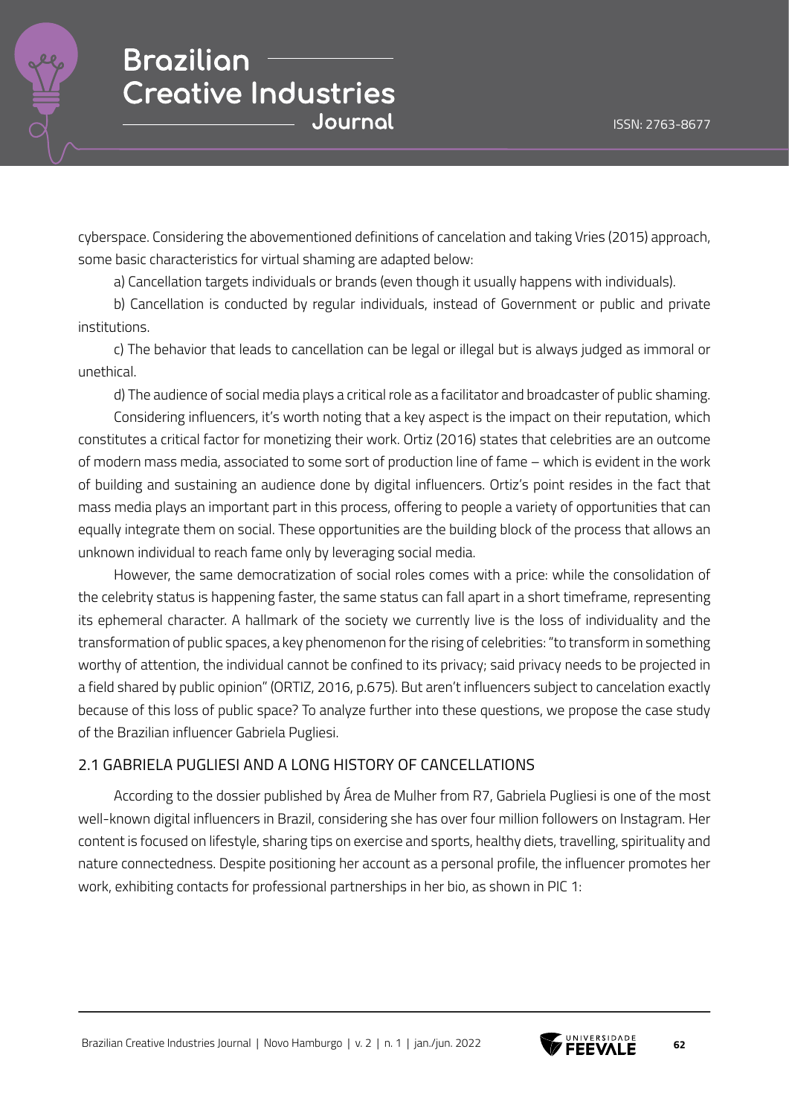

cyberspace. Considering the abovementioned definitions of cancelation and taking Vries (2015) approach, some basic characteristics for virtual shaming are adapted below:

a) Cancellation targets individuals or brands (even though it usually happens with individuals).

b) Cancellation is conducted by regular individuals, instead of Government or public and private institutions.

c) The behavior that leads to cancellation can be legal or illegal but is always judged as immoral or unethical.

d) The audience of social media plays a critical role as a facilitator and broadcaster of public shaming.

Considering influencers, it's worth noting that a key aspect is the impact on their reputation, which constitutes a critical factor for monetizing their work. Ortiz (2016) states that celebrities are an outcome of modern mass media, associated to some sort of production line of fame – which is evident in the work of building and sustaining an audience done by digital influencers. Ortiz's point resides in the fact that mass media plays an important part in this process, offering to people a variety of opportunities that can equally integrate them on social. These opportunities are the building block of the process that allows an unknown individual to reach fame only by leveraging social media.

However, the same democratization of social roles comes with a price: while the consolidation of the celebrity status is happening faster, the same status can fall apart in a short timeframe, representing its ephemeral character. A hallmark of the society we currently live is the loss of individuality and the transformation of public spaces, a key phenomenon for the rising of celebrities: "to transform in something worthy of attention, the individual cannot be confined to its privacy; said privacy needs to be projected in a field shared by public opinion" (ORTIZ, 2016, p.675). But aren't influencers subject to cancelation exactly because of this loss of public space? To analyze further into these questions, we propose the case study of the Brazilian influencer Gabriela Pugliesi.

### 2.1 GABRIELA PUGLIESI AND A LONG HISTORY OF CANCELLATIONS

According to the dossier published by Área de Mulher from R7, Gabriela Pugliesi is one of the most well-known digital influencers in Brazil, considering she has over four million followers on Instagram. Her content is focused on lifestyle, sharing tips on exercise and sports, healthy diets, travelling, spirituality and nature connectedness. Despite positioning her account as a personal profile, the influencer promotes her work, exhibiting contacts for professional partnerships in her bio, as shown in PIC 1:



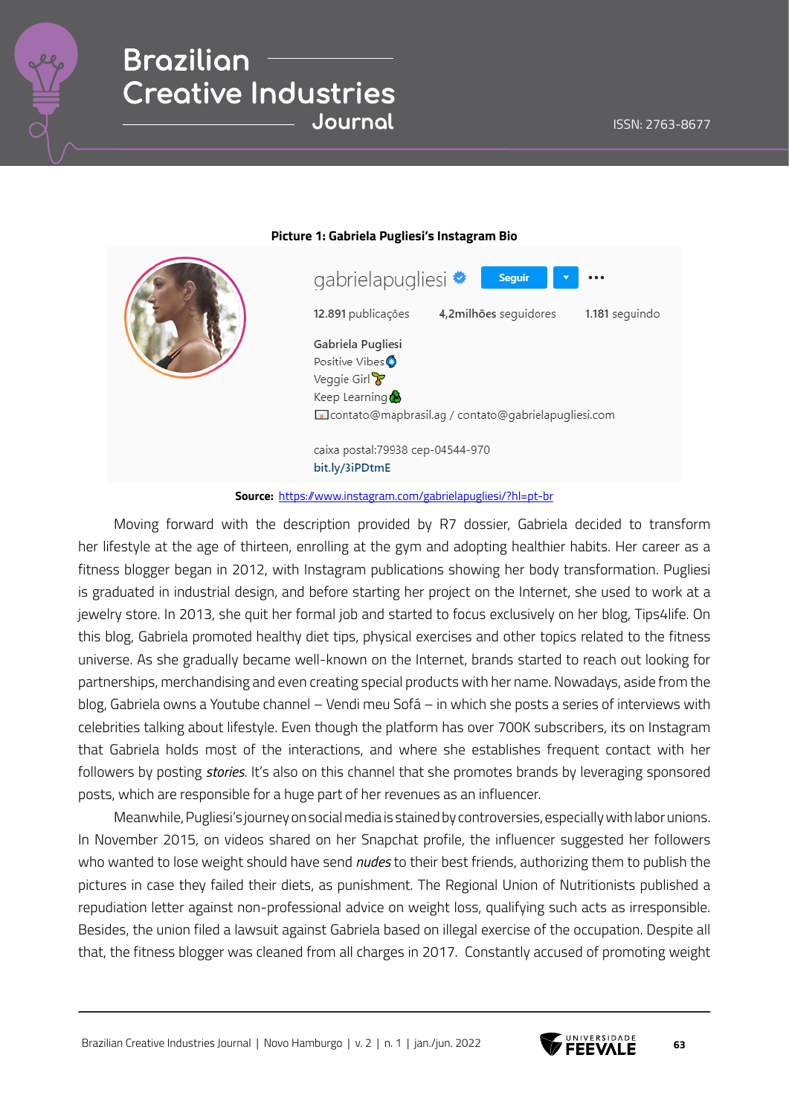

|  | gabrielapugliesi ♥<br>Seguir                                                                                               |
|--|----------------------------------------------------------------------------------------------------------------------------|
|  | 12.891 publicações<br>4,2milhões seguidores<br>1.181 seguindo                                                              |
|  | Gabriela Pugliesi<br>Positive Vibes<br>Veggie Girl<br>Keep Learning<br>contato@mapbrasil.ag / contato@gabrielapugliesi.com |
|  | caixa postal:79938 cep-04544-970<br>bit.ly/3iPDtmE                                                                         |

**Picture 1: Gabriela Pugliesi's Instagram Bio**

#### **Source:** https://www.instagram.com/gabrielapugliesi/?hl=pt-br

Moving forward with the description provided by R7 dossier, Gabriela decided to transform her lifestyle at the age of thirteen, enrolling at the gym and adopting healthier habits. Her career as a fitness blogger began in 2012, with Instagram publications showing her body transformation. Pugliesi is graduated in industrial design, and before starting her project on the Internet, she used to work at a jewelry store. In 2013, she quit her formal job and started to focus exclusively on her blog, Tips4life. On this blog, Gabriela promoted healthy diet tips, physical exercises and other topics related to the fitness universe. As she gradually became well-known on the Internet, brands started to reach out looking for partnerships, merchandising and even creating special products with her name. Nowadays, aside from the blog, Gabriela owns a Youtube channel – Vendi meu Sofá – in which she posts a series of interviews with celebrities talking about lifestyle. Even though the platform has over 700K subscribers, its on Instagram that Gabriela holds most of the interactions, and where she establishes frequent contact with her followers by posting *stories*. It's also on this channel that she promotes brands by leveraging sponsored posts, which are responsible for a huge part of her revenues as an influencer.

Meanwhile, Pugliesi's journey on social media is stained by controversies, especially with labor unions. In November 2015, on videos shared on her Snapchat profile, the influencer suggested her followers who wanted to lose weight should have send *nudes* to their best friends, authorizing them to publish the pictures in case they failed their diets, as punishment. The Regional Union of Nutritionists published a repudiation letter against non-professional advice on weight loss, qualifying such acts as irresponsible. Besides, the union filed a lawsuit against Gabriela based on illegal exercise of the occupation. Despite all that, the fitness blogger was cleaned from all charges in 2017. Constantly accused of promoting weight

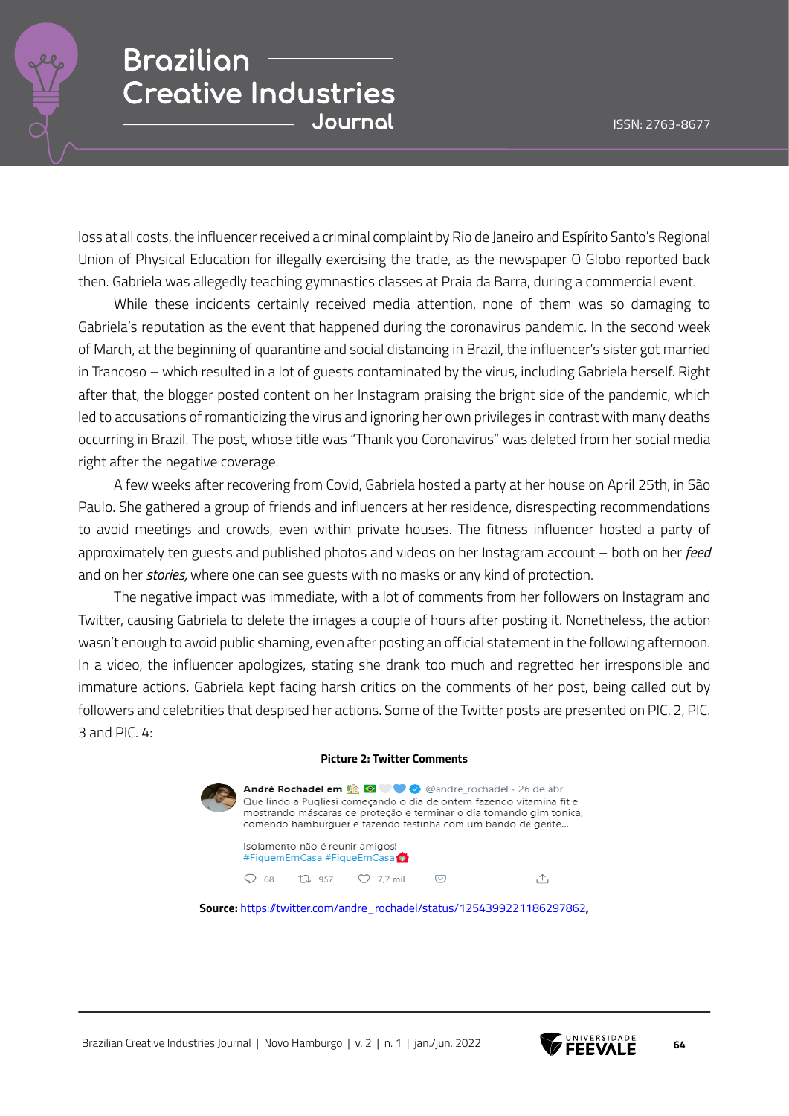loss at all costs, the influencer received a criminal complaint by Rio de Janeiro and Espírito Santo's Regional Union of Physical Education for illegally exercising the trade, as the newspaper O Globo reported back then. Gabriela was allegedly teaching gymnastics classes at Praia da Barra, during a commercial event.

While these incidents certainly received media attention, none of them was so damaging to Gabriela's reputation as the event that happened during the coronavirus pandemic. In the second week of March, at the beginning of quarantine and social distancing in Brazil, the influencer's sister got married in Trancoso – which resulted in a lot of guests contaminated by the virus, including Gabriela herself. Right after that, the blogger posted content on her Instagram praising the bright side of the pandemic, which led to accusations of romanticizing the virus and ignoring her own privileges in contrast with many deaths occurring in Brazil. The post, whose title was "Thank you Coronavirus" was deleted from her social media right after the negative coverage.

A few weeks after recovering from Covid, Gabriela hosted a party at her house on April 25th, in São Paulo. She gathered a group of friends and influencers at her residence, disrespecting recommendations to avoid meetings and crowds, even within private houses. The fitness influencer hosted a party of approximately ten guests and published photos and videos on her Instagram account – both on her *feed* and on her *stories,* where one can see guests with no masks or any kind of protection.

The negative impact was immediate, with a lot of comments from her followers on Instagram and Twitter, causing Gabriela to delete the images a couple of hours after posting it. Nonetheless, the action wasn't enough to avoid public shaming, even after posting an official statement in the following afternoon. In a video, the influencer apologizes, stating she drank too much and regretted her irresponsible and immature actions. Gabriela kept facing harsh critics on the comments of her post, being called out by followers and celebrities that despised her actions. Some of the Twitter posts are presented on PIC. 2, PIC. 3 and PIC. 4:

#### **Picture 2: Twitter Comments**



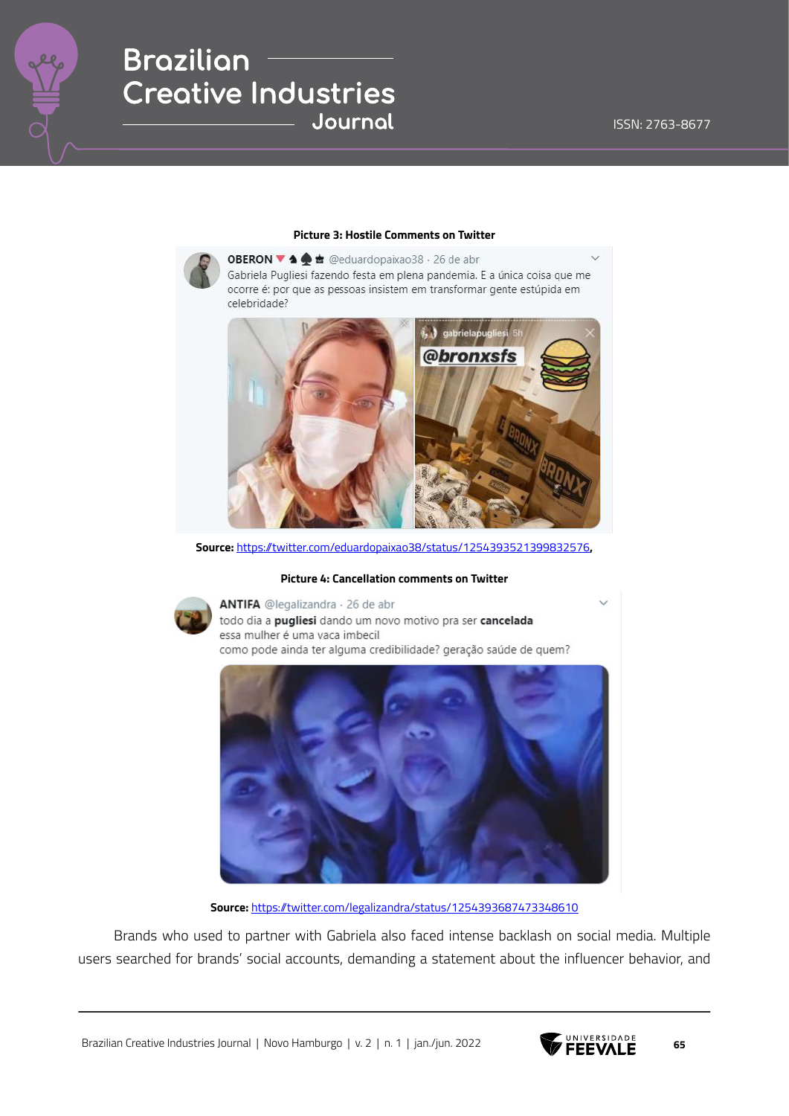

#### **Picture 3: Hostile Comments on Twitter**

OBERON ▼ 1 ± @eduardopaixao38 · 26 de abr Gabriela Pugliesi fazendo festa em plena pandemia. E a única coisa que me ocorre é: por que as pessoas insistem em transformar gente estúpida em celebridade?



**Source:** https://twitter.com/eduardopaixao38/status/1254393521399832576**,**

#### **Picture 4: Cancellation comments on Twitter**



ANTIFA @legalizandra · 26 de abr todo dia a pugliesi dando um novo motivo pra ser cancelada essa mulher é uma vaca imbecil como pode ainda ter alguma credibilidade? geração saúde de quem?



**Source:** https://twitter.com/legalizandra/status/1254393687473348610

Brands who used to partner with Gabriela also faced intense backlash on social media. Multiple users searched for brands' social accounts, demanding a statement about the influencer behavior, and

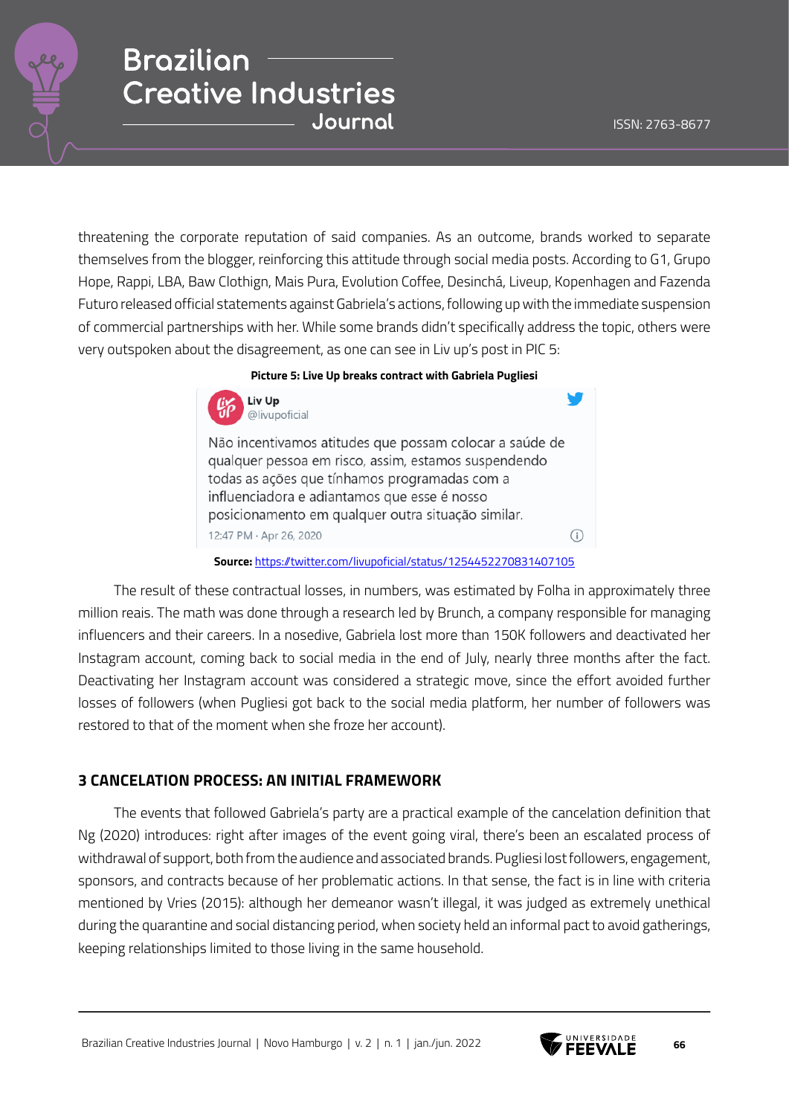threatening the corporate reputation of said companies. As an outcome, brands worked to separate themselves from the blogger, reinforcing this attitude through social media posts. According to G1, Grupo Hope, Rappi, LBA, Baw Clothign, Mais Pura, Evolution Coffee, Desinchá, Liveup, Kopenhagen and Fazenda Futuro released official statements against Gabriela's actions, following up with the immediate suspension of commercial partnerships with her. While some brands didn't specifically address the topic, others were very outspoken about the disagreement, as one can see in Liv up's post in PIC 5:

### **Picture 5: Live Up breaks contract with Gabriela Pugliesi**



Não incentivamos atitudes que possam colocar a saúde de qualquer pessoa em risco, assim, estamos suspendendo todas as ações que tínhamos programadas com a influenciadora e adiantamos que esse é nosso posicionamento em qualquer outra situação similar. 12:47 PM · Apr 26, 2020 G)

#### **Source:** https://twitter.com/livupoficial/status/1254452270831407105

The result of these contractual losses, in numbers, was estimated by Folha in approximately three million reais. The math was done through a research led by Brunch, a company responsible for managing influencers and their careers. In a nosedive, Gabriela lost more than 150K followers and deactivated her Instagram account, coming back to social media in the end of July, nearly three months after the fact. Deactivating her Instagram account was considered a strategic move, since the effort avoided further losses of followers (when Pugliesi got back to the social media platform, her number of followers was restored to that of the moment when she froze her account).

### **3 CANCELATION PROCESS: AN INITIAL FRAMEWORK**

The events that followed Gabriela's party are a practical example of the cancelation definition that Ng (2020) introduces: right after images of the event going viral, there's been an escalated process of withdrawal of support, both from the audience and associated brands. Pugliesi lost followers, engagement, sponsors, and contracts because of her problematic actions. In that sense, the fact is in line with criteria mentioned by Vries (2015): although her demeanor wasn't illegal, it was judged as extremely unethical during the quarantine and social distancing period, when society held an informal pact to avoid gatherings, keeping relationships limited to those living in the same household.

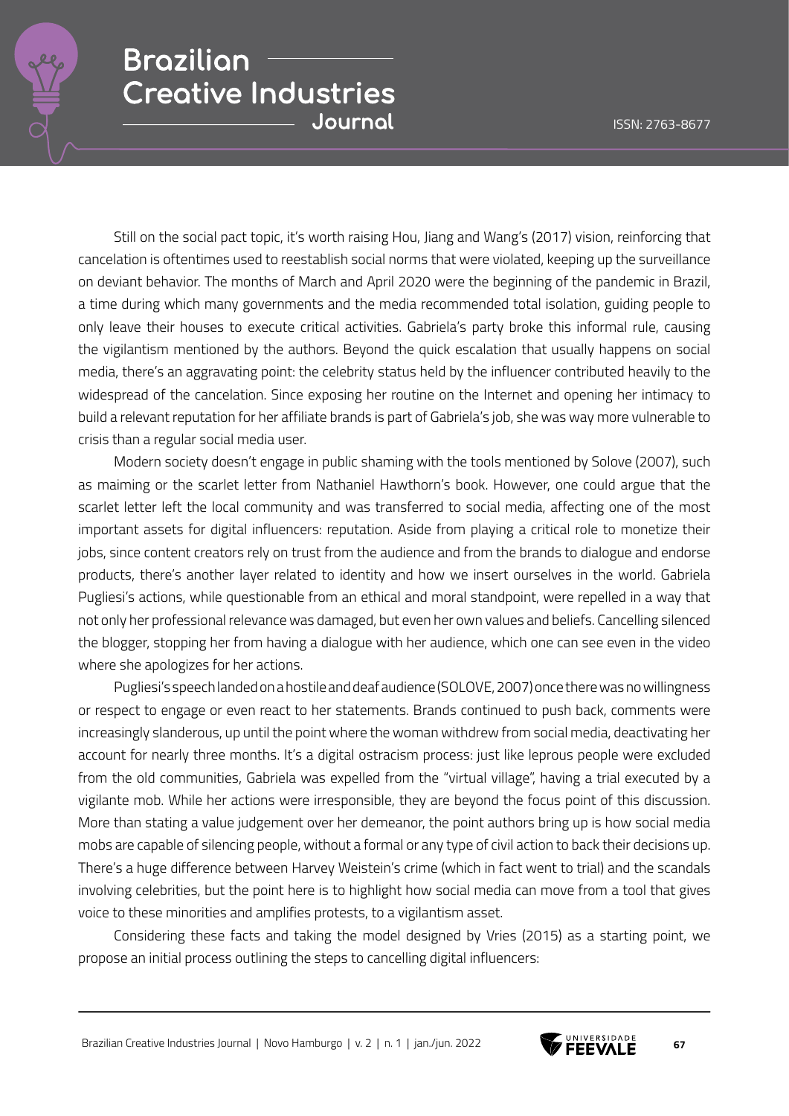Still on the social pact topic, it's worth raising Hou, Jiang and Wang's (2017) vision, reinforcing that cancelation is oftentimes used to reestablish social norms that were violated, keeping up the surveillance on deviant behavior. The months of March and April 2020 were the beginning of the pandemic in Brazil, a time during which many governments and the media recommended total isolation, guiding people to only leave their houses to execute critical activities. Gabriela's party broke this informal rule, causing the vigilantism mentioned by the authors. Beyond the quick escalation that usually happens on social media, there's an aggravating point: the celebrity status held by the influencer contributed heavily to the widespread of the cancelation. Since exposing her routine on the Internet and opening her intimacy to build a relevant reputation for her affiliate brands is part of Gabriela's job, she was way more vulnerable to crisis than a regular social media user.

Modern society doesn't engage in public shaming with the tools mentioned by Solove (2007), such as maiming or the scarlet letter from Nathaniel Hawthorn's book. However, one could argue that the scarlet letter left the local community and was transferred to social media, affecting one of the most important assets for digital influencers: reputation. Aside from playing a critical role to monetize their jobs, since content creators rely on trust from the audience and from the brands to dialogue and endorse products, there's another layer related to identity and how we insert ourselves in the world. Gabriela Pugliesi's actions, while questionable from an ethical and moral standpoint, were repelled in a way that not only her professional relevance was damaged, but even her own values and beliefs. Cancelling silenced the blogger, stopping her from having a dialogue with her audience, which one can see even in the video where she apologizes for her actions.

Pugliesi's speech landed on a hostile and deaf audience (SOLOVE, 2007) once there was no willingness or respect to engage or even react to her statements. Brands continued to push back, comments were increasingly slanderous, up until the point where the woman withdrew from social media, deactivating her account for nearly three months. It's a digital ostracism process: just like leprous people were excluded from the old communities, Gabriela was expelled from the "virtual village", having a trial executed by a vigilante mob. While her actions were irresponsible, they are beyond the focus point of this discussion. More than stating a value judgement over her demeanor, the point authors bring up is how social media mobs are capable of silencing people, without a formal or any type of civil action to back their decisions up. There's a huge difference between Harvey Weistein's crime (which in fact went to trial) and the scandals involving celebrities, but the point here is to highlight how social media can move from a tool that gives voice to these minorities and amplifies protests, to a vigilantism asset.

Considering these facts and taking the model designed by Vries (2015) as a starting point, we propose an initial process outlining the steps to cancelling digital influencers:

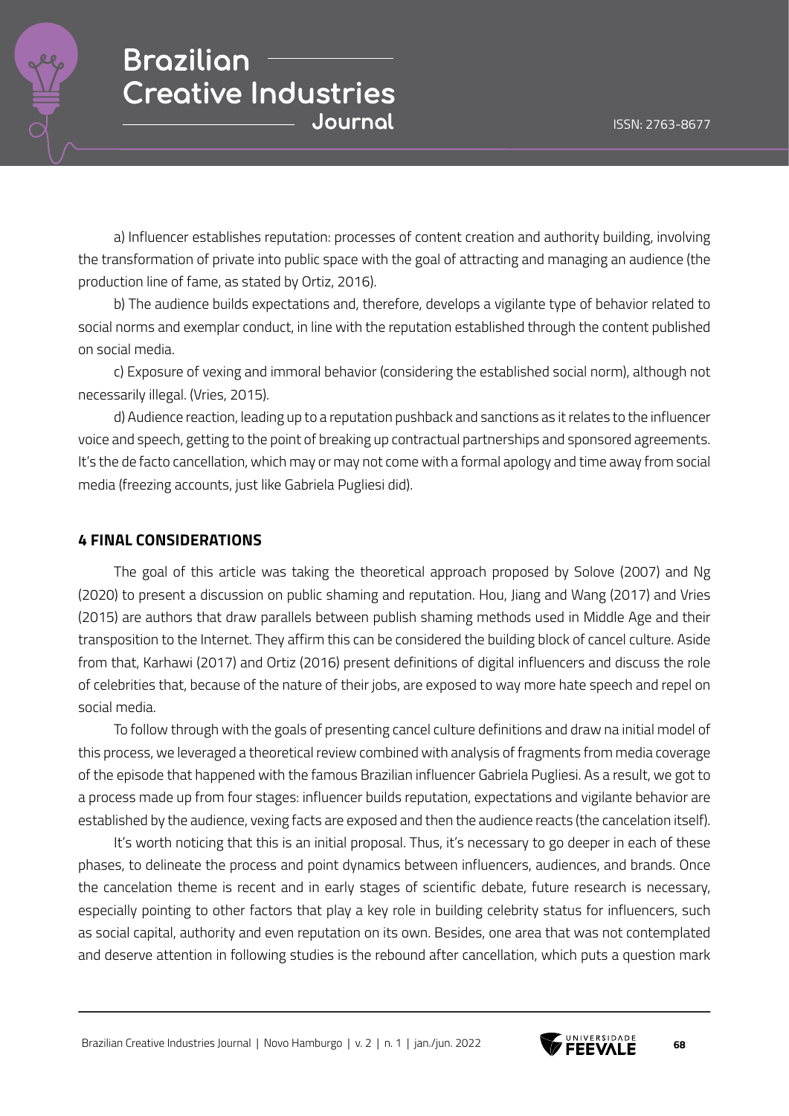

a) Influencer establishes reputation: processes of content creation and authority building, involving the transformation of private into public space with the goal of attracting and managing an audience (the production line of fame, as stated by Ortiz, 2016).

b) The audience builds expectations and, therefore, develops a vigilante type of behavior related to social norms and exemplar conduct, in line with the reputation established through the content published on social media.

c) Exposure of vexing and immoral behavior (considering the established social norm), although not necessarily illegal. (Vries, 2015).

d) Audience reaction, leading up to a reputation pushback and sanctions as it relates to the influencer voice and speech, getting to the point of breaking up contractual partnerships and sponsored agreements. It's the de facto cancellation, which may or may not come with a formal apology and time away from social media (freezing accounts, just like Gabriela Pugliesi did).

### **4 FINAL CONSIDERATIONS**

The goal of this article was taking the theoretical approach proposed by Solove (2007) and Ng (2020) to present a discussion on public shaming and reputation. Hou, Jiang and Wang (2017) and Vries (2015) are authors that draw parallels between publish shaming methods used in Middle Age and their transposition to the Internet. They affirm this can be considered the building block of cancel culture. Aside from that, Karhawi (2017) and Ortiz (2016) present definitions of digital influencers and discuss the role of celebrities that, because of the nature of their jobs, are exposed to way more hate speech and repel on social media.

To follow through with the goals of presenting cancel culture definitions and draw na initial model of this process, we leveraged a theoretical review combined with analysis of fragments from media coverage of the episode that happened with the famous Brazilian influencer Gabriela Pugliesi. As a result, we got to a process made up from four stages: influencer builds reputation, expectations and vigilante behavior are established by the audience, vexing facts are exposed and then the audience reacts (the cancelation itself).

It's worth noticing that this is an initial proposal. Thus, it's necessary to go deeper in each of these phases, to delineate the process and point dynamics between influencers, audiences, and brands. Once the cancelation theme is recent and in early stages of scientific debate, future research is necessary, especially pointing to other factors that play a key role in building celebrity status for influencers, such as social capital, authority and even reputation on its own. Besides, one area that was not contemplated and deserve attention in following studies is the rebound after cancellation, which puts a question mark

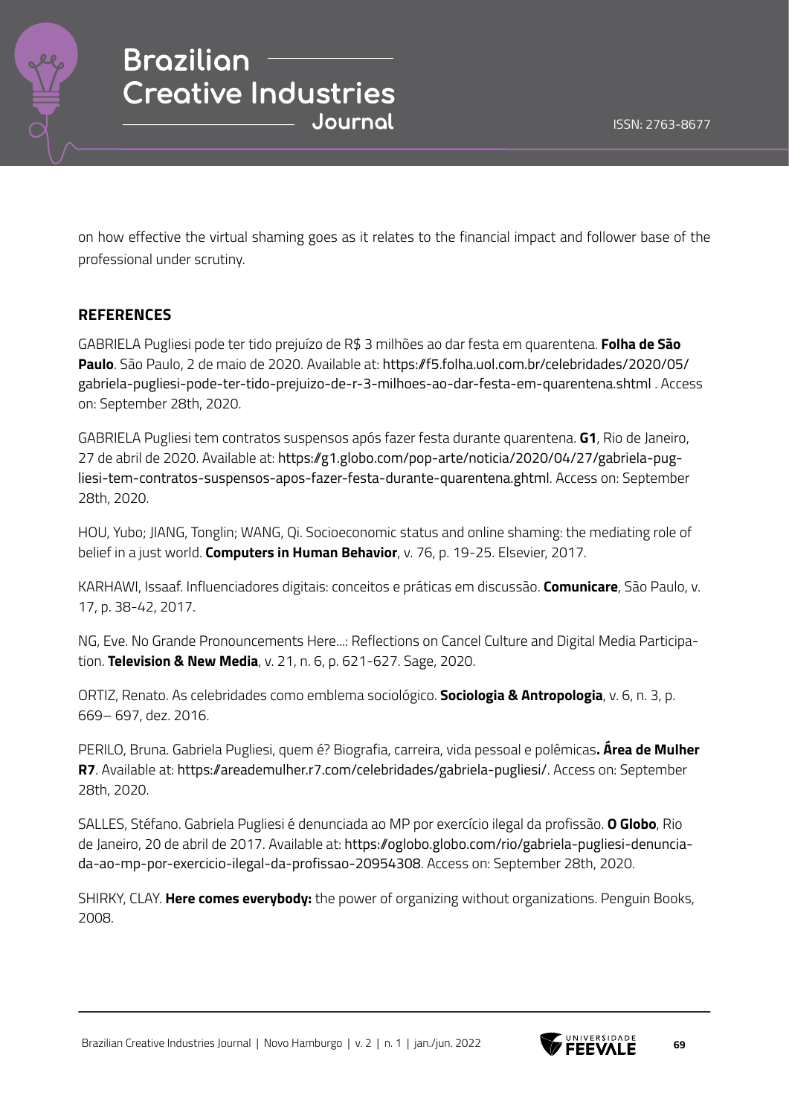

on how effective the virtual shaming goes as it relates to the financial impact and follower base of the professional under scrutiny.

### **REFERENCES**

GABRIELA Pugliesi pode ter tido prejuízo de R\$ 3 milhões ao dar festa em quarentena. **Folha de São Paulo**. São Paulo, 2 de maio de 2020. Available at: https://f5.folha.uol.com.br/celebridades/2020/05/ gabriela-pugliesi-pode-ter-tido-prejuizo-de-r-3-milhoes-ao-dar-festa-em-quarentena.shtml . Access on: September 28th, 2020.

GABRIELA Pugliesi tem contratos suspensos após fazer festa durante quarentena. **G1**, Rio de Janeiro, 27 de abril de 2020. Available at: https://g1.globo.com/pop-arte/noticia/2020/04/27/gabriela-pugliesi-tem-contratos-suspensos-apos-fazer-festa-durante-quarentena.ghtml. Access on: September 28th, 2020.

HOU, Yubo; JIANG, Tonglin; WANG, Qi. Socioeconomic status and online shaming: the mediating role of belief in a just world. **Computers in Human Behavior**, v. 76, p. 19-25. Elsevier, 2017.

KARHAWI, Issaaf. Influenciadores digitais: conceitos e práticas em discussão. **Comunicare**, São Paulo, v. 17, p. 38-42, 2017.

NG, Eve. No Grande Pronouncements Here...: Reflections on Cancel Culture and Digital Media Participation. **Television & New Media**, v. 21, n. 6, p. 621-627. Sage, 2020.

ORTIZ, Renato. As celebridades como emblema sociológico. **Sociologia & Antropologia**, v. 6, n. 3, p. 669– 697, dez. 2016.

PERILO, Bruna. Gabriela Pugliesi, quem é? Biografia, carreira, vida pessoal e polêmicas**. Área de Mulher R7**. Available at: https://areademulher.r7.com/celebridades/gabriela-pugliesi/. Access on: September 28th, 2020.

SALLES, Stéfano. Gabriela Pugliesi é denunciada ao MP por exercício ilegal da profissão. **O Globo**, Rio de Janeiro, 20 de abril de 2017. Available at: https://oglobo.globo.com/rio/gabriela-pugliesi-denunciada-ao-mp-por-exercicio-ilegal-da-profissao-20954308. Access on: September 28th, 2020.

SHIRKY, CLAY. **Here comes everybody:** the power of organizing without organizations. Penguin Books, 2008.